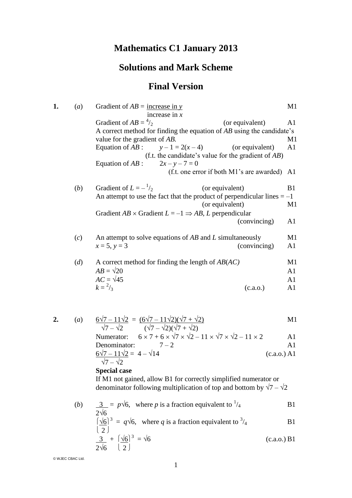# **Mathematics C1 January 2013**

# **Solutions and Mark Scheme**

# **Final Version**

| (a) | Gradient of $AB =$ increase in y                                        | M1                                                                                                                                                                                                                                                                                                                                                                                                                                                                                                                                                                                                                                                                                               |
|-----|-------------------------------------------------------------------------|--------------------------------------------------------------------------------------------------------------------------------------------------------------------------------------------------------------------------------------------------------------------------------------------------------------------------------------------------------------------------------------------------------------------------------------------------------------------------------------------------------------------------------------------------------------------------------------------------------------------------------------------------------------------------------------------------|
|     |                                                                         | A1                                                                                                                                                                                                                                                                                                                                                                                                                                                                                                                                                                                                                                                                                               |
|     |                                                                         |                                                                                                                                                                                                                                                                                                                                                                                                                                                                                                                                                                                                                                                                                                  |
|     |                                                                         | M1                                                                                                                                                                                                                                                                                                                                                                                                                                                                                                                                                                                                                                                                                               |
|     |                                                                         | A <sub>1</sub>                                                                                                                                                                                                                                                                                                                                                                                                                                                                                                                                                                                                                                                                                   |
|     |                                                                         |                                                                                                                                                                                                                                                                                                                                                                                                                                                                                                                                                                                                                                                                                                  |
|     |                                                                         |                                                                                                                                                                                                                                                                                                                                                                                                                                                                                                                                                                                                                                                                                                  |
|     | (f.t. one error if both M1's are awarded) A1                            |                                                                                                                                                                                                                                                                                                                                                                                                                                                                                                                                                                                                                                                                                                  |
| (b) | Gradient of $L = -\frac{1}{2}$<br>(or equivalent)                       | B1                                                                                                                                                                                                                                                                                                                                                                                                                                                                                                                                                                                                                                                                                               |
|     |                                                                         |                                                                                                                                                                                                                                                                                                                                                                                                                                                                                                                                                                                                                                                                                                  |
|     | (or equivalent)                                                         | M1                                                                                                                                                                                                                                                                                                                                                                                                                                                                                                                                                                                                                                                                                               |
|     | Gradient $AB \times$ Gradient $L = -1 \Rightarrow AB$ , L perpendicular |                                                                                                                                                                                                                                                                                                                                                                                                                                                                                                                                                                                                                                                                                                  |
|     | (convincing)                                                            | A1                                                                                                                                                                                                                                                                                                                                                                                                                                                                                                                                                                                                                                                                                               |
|     |                                                                         | M1                                                                                                                                                                                                                                                                                                                                                                                                                                                                                                                                                                                                                                                                                               |
|     | $x = 5, y = 3$<br>(convincing)                                          | A1                                                                                                                                                                                                                                                                                                                                                                                                                                                                                                                                                                                                                                                                                               |
|     |                                                                         | M1                                                                                                                                                                                                                                                                                                                                                                                                                                                                                                                                                                                                                                                                                               |
|     | $AB = \sqrt{20}$                                                        | A <sub>1</sub>                                                                                                                                                                                                                                                                                                                                                                                                                                                                                                                                                                                                                                                                                   |
|     | $AC = \sqrt{45}$                                                        | A1                                                                                                                                                                                                                                                                                                                                                                                                                                                                                                                                                                                                                                                                                               |
|     | $k = \frac{2}{3}$<br>(c.a.o.)                                           | A1                                                                                                                                                                                                                                                                                                                                                                                                                                                                                                                                                                                                                                                                                               |
|     |                                                                         |                                                                                                                                                                                                                                                                                                                                                                                                                                                                                                                                                                                                                                                                                                  |
| (a) |                                                                         | M1                                                                                                                                                                                                                                                                                                                                                                                                                                                                                                                                                                                                                                                                                               |
|     | (c)<br>(d)                                                              | increase in $x$<br>Gradient of $AB = \frac{4}{2}$<br>(or equivalent)<br>A correct method for finding the equation of $AB$ using the candidate's<br>value for the gradient of AB.<br>Equation of $AB$ :<br>$y-1=2(x-4)$<br>(or equivalent)<br>(f.t. the candidate's value for the gradient of $AB$ )<br>Equation of $AB$ :<br>$2x - y - 7 = 0$<br>An attempt to use the fact that the product of perpendicular lines $= -1$<br>An attempt to solve equations of $AB$ and $L$ simultaneously<br>A correct method for finding the length of $AB(AC)$<br>$\frac{6\sqrt{7}-11\sqrt{2}}{\sqrt{7}-\sqrt{2}} = \frac{(6\sqrt{7}-11\sqrt{2})(\sqrt{7}+\sqrt{2})}{(\sqrt{7}-\sqrt{2})(\sqrt{7}+\sqrt{2})}$ |

$$
6 \times 7 + 6 \times \sqrt{7} \times \sqrt{2} - 11 \times \sqrt{7} \times \sqrt{2} - 11 \times 2
$$
 Al  
Denominator: 7-2 Al  

$$
\frac{6\sqrt{7} - 11\sqrt{2}}{\sqrt{7} - \sqrt{2}} = 4 - \sqrt{14}
$$
 (c.a.o.) Al

#### **Special case**

If M1 not gained, allow B1 for correctly simplified numerator or denominator following multiplication of top and bottom by  $\sqrt{7} - \sqrt{2}$ 

(b) 
$$
\frac{3}{2\sqrt{6}} = p\sqrt{6}
$$
, where *p* is a fraction equivalent to  $\frac{1}{4}$  B1  
\n $\left(\frac{\sqrt{6}}{3}\right)^3 = q\sqrt{6}$ , where *q* is a fraction equivalent to  $\frac{3}{4}$  B1

$$
\left[\frac{\sqrt{6}}{2}\right]^3 = q\sqrt{6}, \text{ where } q \text{ is a fraction equivalent to } \frac{3}{4} \tag{B1}
$$

$$
\frac{3}{2\sqrt{6}} + \left(\frac{\sqrt{6}}{2}\right)^3 = \sqrt{6}
$$
\n(c.a.o.) B1

© WJEC CBAC Ltd.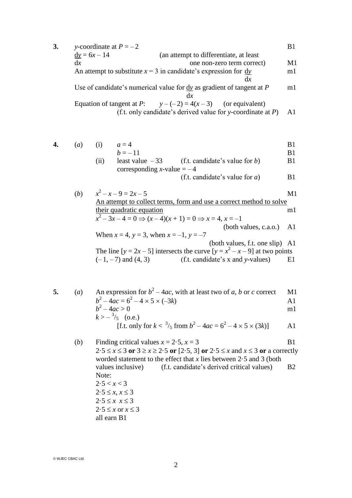- **3.** *y*-coordinate at  $P = -2$  B1  $\underline{dy} = 6x - 14$  (an attempt to differentiate, at least dx one non-zero term correct) M1 An attempt to substitute  $x = 3$  in candidate's expression for  $\frac{dy}{dx}$  m1 d*x* Use of candidate's numerical value for  $\underline{dy}$  as gradient of tangent at *P* m1 d*x* Equation of tangent at *P*:  $y-(-2) = 4(x-3)$  (or equivalent) (f.t. only candidate's derived value for *y*-coordinate at *P*) A1
- 

**4.** (*a*) (i)  $a = 4$  B1  $b = -11$  B1

(ii) least value 
$$
-33
$$
 (f.t. candidate's value for *b*)  
corresponding *x*-value =  $-4$ 

$$
(f.t. candidate's value for a) \t\t B1
$$

(b) 
$$
x^2 - x - 9 = 2x - 5
$$
  
\nAn attempt to collect terms, form and use a correct method to solve  
\ntheir quadratic equation  
\n $x^2 - 3x - 4 = 0 \Rightarrow (x - 4)(x + 1) = 0 \Rightarrow x = 4, x = -1$   
\n(both values, c.a.o.) A1  
\nWhen  $x = 4$ ,  $y = 3$ , when  $x = -1$ ,  $y = -7$   
\n(both values, f.t. one slip) A1  
\nThe line  $[y = 2x - 5]$  intersects the curve  $[y = x^2 - x - 9]$  at two points  
\n $(-1, -7)$  and  $(4, 3)$   
\n(f.t. candidate's x and y-values) E1

**5.** (*a*) An expression for  $b^2 - 4ac$ , with at least two of *a*, *b* or *c* correct M1  $b^2 - 4ac = 6^2 - 4 \times 5 \times (-3k)$  A1  $b^2 - 4ac > 0$  m1  $k > -\frac{3}{5}$  (o.e.) [f.t. only for  $k < \frac{3}{5}$  from  $b^2 - 4ac = 6^2 - 4 \times 5 \times (3k)$ ] A1

(*b*) Finding critical values  $x = 2.5$ ,  $x = 3$  B1  $2.5 \le x \le 3$  or  $3 \ge x \ge 2.5$  or  $[2.5, 3]$  or  $2.5 \le x$  and  $x \le 3$  or a correctly worded statement to the effect that *x* lies between 2·5 and 3 (both values inclusive) (f.t. candidate's derived critical values) B2 Note:  $2.5 < x < 3$  $2.5 \leq x, x \leq 3$  $2.5 \leq x \leq 3$  $2.5 \leq x \text{ or } x \leq 3$ all earn B1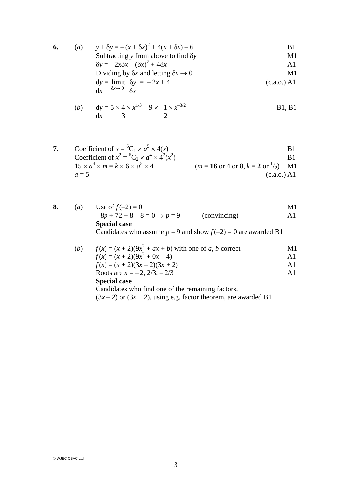6. (a) 
$$
y + \delta y = -(x + \delta x)^2 + 4(x + \delta x) - 6
$$
  
\nSubtracting y from above to find  $\delta y$   
\n $\delta y = -2x\delta x - (\delta x)^2 + 4\delta x$   
\nDividing by  $\delta x$  and letting  $\delta x \rightarrow 0$   
\n $\underline{dy} = \lim_{\delta x \to 0} \frac{\delta y}{\delta x} = -2x + 4$   
\n $\underline{dy} = \delta x$   
\n(b) (c.a.o.) A1

(b) 
$$
\frac{dy}{dx} = 5 \times \frac{4}{3} \times x^{1/3} - 9 \times -\frac{1}{2} \times x^{-3/2}
$$
 B1, B1

7. Coefficient of 
$$
x = {}^{6}C_{1} \times a^{5} \times 4(x)
$$
  
\nCoefficient of  $x^{2} = {}^{6}C_{2} \times a^{4} \times 4^{2}(x^{2})$   
\n15 x  $a^{4} \times m = k \times 6 \times a^{5} \times 4$   
\n $a = 5$   
\n81  
\n $m = 16$  or 4 or 8,  $k = 2$  or  ${}^{1}_{2}$ )  
\n $(m = 16$  or 4 or 8,  $k = 2$  or  ${}^{1}_{2}$ )  
\n $(c.a.o.) A1$ 

| 8. | $\left(a\right)$ | Use of $f(-2) = 0$                                                |              | M1             |
|----|------------------|-------------------------------------------------------------------|--------------|----------------|
|    |                  | $-8p + 72 + 8 - 8 = 0 \implies p = 9$                             | (convincing) | $\mathbf{A}1$  |
|    |                  | <b>Special case</b>                                               |              |                |
|    |                  | Candidates who assume $p = 9$ and show $f(-2) = 0$ are awarded B1 |              |                |
|    | (b)              | $f(x) = (x + 2)(9x2 + ax + b)$ with one of a, b correct           |              | M1             |
|    |                  | $f(x) = (x + 2)(9x^2 + 0x - 4)$                                   |              | A1             |
|    |                  | $f(x) = (x + 2)(3x – 2)(3x + 2)$                                  |              | A1             |
|    |                  | Roots are $x = -2$ , $2/3$ , $-2/3$                               |              | A <sub>1</sub> |
|    |                  |                                                                   |              |                |

#### **Special case**

Candidates who find one of the remaining factors,

 $(3x-2)$  or  $(3x + 2)$ , using e.g. factor theorem, are awarded B1

© WJEC CBAC Ltd.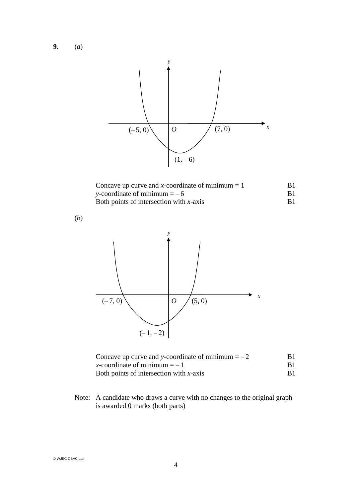**9.** (*a*)



| Concave up curve and x-coordinate or minimum $= 1$ | D L            |
|----------------------------------------------------|----------------|
| y-coordinate of minimum $=-6$                      | B <sub>1</sub> |
| Both points of intersection with $x$ -axis         | B <sub>1</sub> |

(*b*)



| Concave up curve and y-coordinate of minimum $=-2$ | B1 |
|----------------------------------------------------|----|
| x-coordinate of minimum $=-1$                      | B1 |
| Both points of intersection with $x$ -axis         | B1 |

Note: A candidate who draws a curve with no changes to the original graph is awarded 0 marks (both parts)